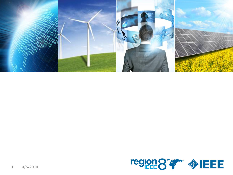

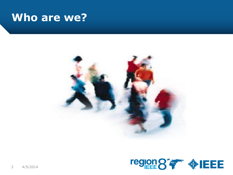#### **Who are we?**



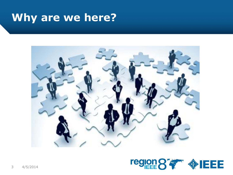#### **Why are we here?**



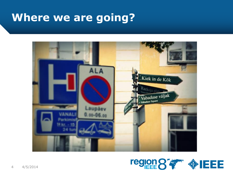#### **Where we are going?**



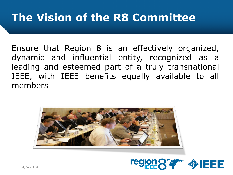# **The Vision of the R8 Committee**

Ensure that Region 8 is an effectively organized, dynamic and influential entity, recognized as a leading and esteemed part of a truly transnational IEEE, with IEEE benefits equally available to all members



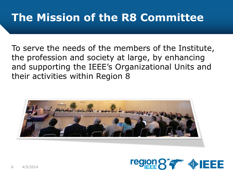# **The Mission of the R8 Committee**

To serve the needs of the members of the Institute, the profession and society at large, by enhancing and supporting the IEEE's Organizational Units and their activities within Region 8



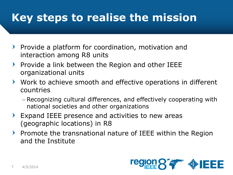# **Key steps to realise the mission**

- Provide a platform for coordination, motivation and  $\blacktriangleright$ interaction among R8 units
- Provide a link between the Region and other IEEE  $\blacktriangleright$ organizational units
- Work to achieve smooth and effective operations in different countries
	- Recognizing cultural differences, and effectively cooperating with national societies and other organizations
- Expand IEEE presence and activities to new areas  $\blacktriangleright$ (geographic locations) in R8
- Promote the transnational nature of IEEE within the Region  $\blacktriangleright$ and the Institute

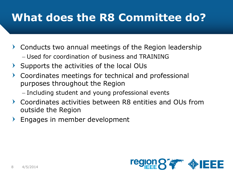# **What does the R8 Committee do?**

- Conducts two annual meetings of the Region leadership – Used for coordination of business and TRAINING
- Supports the activities of the local OUs  $\blacktriangleright$
- Coordinates meetings for technical and professional  $\blacktriangleright$ purposes throughout the Region
	- Including student and young professional events
- Coordinates activities between R8 entities and OUs from  $\blacktriangleright$ outside the Region
- Engages in member development

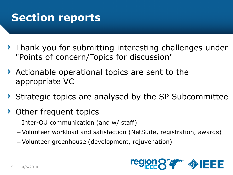### **Section reports**

- Thank you for submitting interesting challenges under "Points of concern/Topics for discussion"
- Actionable operational topics are sent to the appropriate VC
- Strategic topics are analysed by the SP Subcommittee
- ▶ Other frequent topics
	- Inter-OU communication (and w/ staff)
	- Volunteer workload and satisfaction (NetSuite, registration, awards)
	- Volunteer greenhouse (development, rejuvenation)

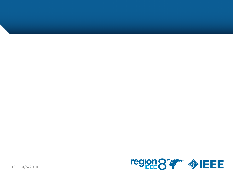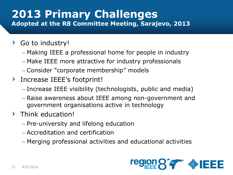#### **2013 Primary Challenges Adopted at the R8 Committee Meeting, Sarajevo, 2013**

- Go to industry!  $\blacktriangleright$ 
	- Making IEEE a professional home for people in industry
	- Make IEEE more attractive for industry professionals
	- Consider "corporate membership" models
- > Increase IEEE's footprint!
	- Increase IEEE visibility (technologists, public and media)
	- Raise awareness about IEEE among non-government and government organisations active in technology
- $\blacktriangleright$ Think education!
	- Pre-university and lifelong education
	- Accreditation and certification
	- Merging professional activities and educational activities

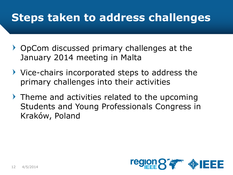# **Steps taken to address challenges**

- OpCom discussed primary challenges at the January 2014 meeting in Malta
- Vice-chairs incorporated steps to address the primary challenges into their activities
- $\blacktriangleright$  Theme and activities related to the upcoming Students and Young Professionals Congress in Kraków, Poland

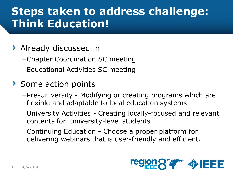## **Steps taken to address challenge: Think Education!**

#### Already discussed in

- –Chapter Coordination SC meeting
- Educational Activities SC meeting

#### Some action points

- Pre-University Modifying or creating programs which are flexible and adaptable to local education systems
- University Activities Creating locally-focused and relevant contents for university-level students
- –Continuing Education Choose a proper platform for delivering webinars that is user-friendly and efficient.

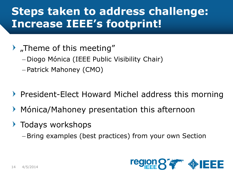# **Steps taken to address challenge: Increase IEEE's footprint!**

- $\blacktriangleright$  , Theme of this meeting"
	- Diogo Mónica (IEEE Public Visibility Chair)
	- Patrick Mahoney (CMO)
- President-Elect Howard Michel address this morning
- Mónica/Mahoney presentation this afternoon
- Todays workshops
	- –Bring examples (best practices) from your own Section

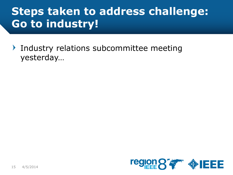# **Steps taken to address challenge: Go to industry!**

Industry relations subcommittee meeting  $\blacktriangleright$ yesterday…

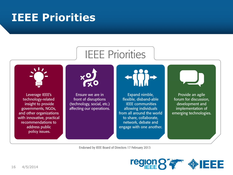#### **IEEE Priorities**

# **IEEE Priorities**



Leverage IEEE's technology-related insight to provide governments, NGOs, and other organizations with innovative, practical recommendations to address public policy issues.



Ensure we are in front of disruptions (technology, social, etc.) affecting our operations.



Expand nimble, flexible, disband-able **IEEE** communities allowing individuals from all around the world to share, collaborate, network, debate and engage with one another.



Provide an agile forum for discussion, development and implementation of emerging technologies.

Endorsed by IEEE Board of Directors 17 February 2013

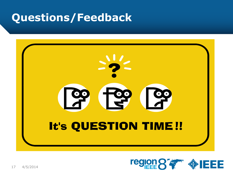### **Questions/Feedback**